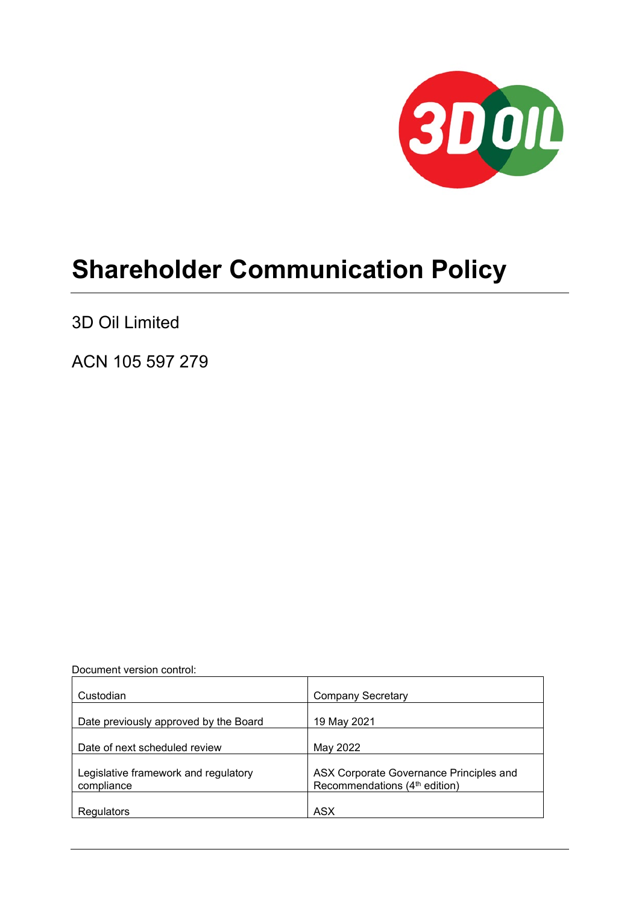

# **Shareholder Communication Policy**

3D Oil Limited

ACN 105 597 279

Document version control:

| Custodian                                          | <b>Company Secretary</b>                                                             |
|----------------------------------------------------|--------------------------------------------------------------------------------------|
| Date previously approved by the Board              | 19 May 2021                                                                          |
| Date of next scheduled review                      | May 2022                                                                             |
| Legislative framework and regulatory<br>compliance | ASX Corporate Governance Principles and<br>Recommendations (4 <sup>th</sup> edition) |
| Regulators                                         | <b>ASX</b>                                                                           |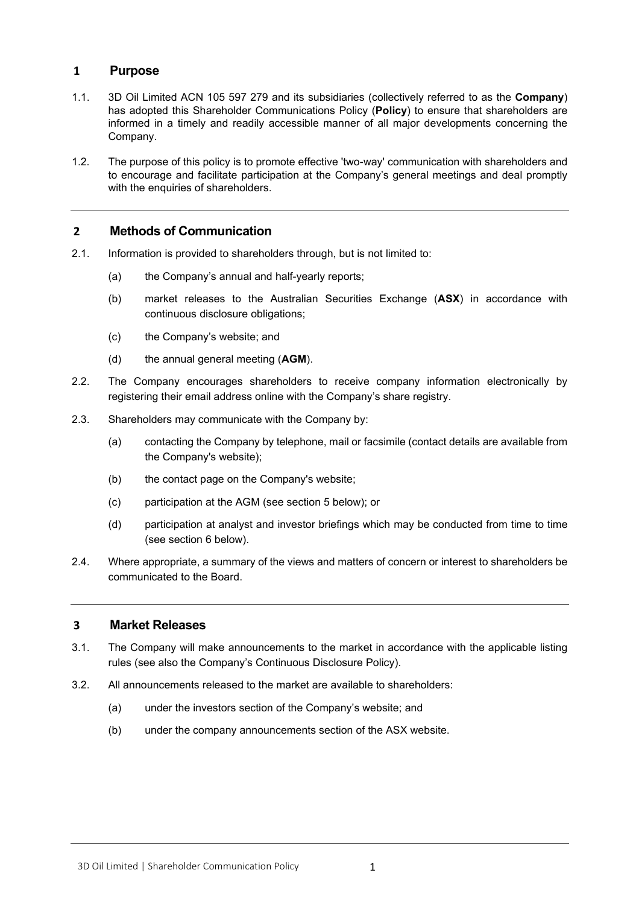## **1 Purpose**

- 1.1. 3D Oil Limited ACN 105 597 279 and its subsidiaries (collectively referred to as the **Company**) has adopted this Shareholder Communications Policy (**Policy**) to ensure that shareholders are informed in a timely and readily accessible manner of all major developments concerning the Company.
- 1.2. The purpose of this policy is to promote effective 'two-way' communication with shareholders and to encourage and facilitate participation at the Company's general meetings and deal promptly with the enquiries of shareholders.

## **2 Methods of Communication**

- 2.1. Information is provided to shareholders through, but is not limited to:
	- (a) the Company's annual and half-yearly reports;
	- (b) market releases to the Australian Securities Exchange (**ASX**) in accordance with continuous disclosure obligations;
	- (c) the Company's website; and
	- (d) the annual general meeting (**AGM**).
- 2.2. The Company encourages shareholders to receive company information electronically by registering their email address online with the Company's share registry.
- 2.3. Shareholders may communicate with the Company by:
	- (a) contacting the Company by telephone, mail or facsimile (contact details are available from the Company's website);
	- (b) the contact page on the Company's website;
	- (c) participation at the AGM (see section 5 below); or
	- (d) participation at analyst and investor briefings which may be conducted from time to time (see section 6 below).
- 2.4. Where appropriate, a summary of the views and matters of concern or interest to shareholders be communicated to the Board.

### **3 Market Releases**

- 3.1. The Company will make announcements to the market in accordance with the applicable listing rules (see also the Company's Continuous Disclosure Policy).
- 3.2. All announcements released to the market are available to shareholders:
	- (a) under the investors section of the Company's website; and
	- (b) under the company announcements section of the ASX website.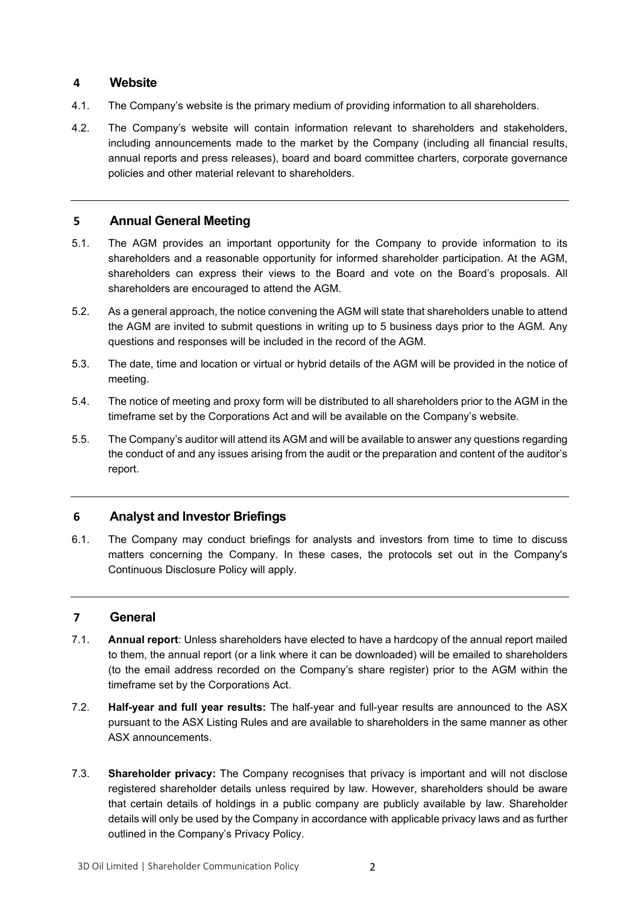## **4 Website**

- 4.1. The Company's website is the primary medium of providing information to all shareholders.
- 4.2. The Company's website will contain information relevant to shareholders and stakeholders, including announcements made to the market by the Company (including all financial results, annual reports and press releases), board and board committee charters, corporate governance policies and other material relevant to shareholders.

## **5 Annual General Meeting**

- 5.1. The AGM provides an important opportunity for the Company to provide information to its shareholders and a reasonable opportunity for informed shareholder participation. At the AGM, shareholders can express their views to the Board and vote on the Board's proposals. All shareholders are encouraged to attend the AGM.
- 5.2. As a general approach, the notice convening the AGM will state that shareholders unable to attend the AGM are invited to submit questions in writing up to 5 business days prior to the AGM. Any questions and responses will be included in the record of the AGM.
- 5.3. The date, time and location or virtual or hybrid details of the AGM will be provided in the notice of meeting.
- 5.4. The notice of meeting and proxy form will be distributed to all shareholders prior to the AGM in the timeframe set by the Corporations Act and will be available on the Company's website.
- 5.5. The Company's auditor will attend its AGM and will be available to answer any questions regarding the conduct of and any issues arising from the audit or the preparation and content of the auditor's report.

# **6 Analyst and Investor Briefings**

6.1. The Company may conduct briefings for analysts and investors from time to time to discuss matters concerning the Company. In these cases, the protocols set out in the Company's Continuous Disclosure Policy will apply.

### **7 General**

- 7.1. **Annual report**: Unless shareholders have elected to have a hardcopy of the annual report mailed to them, the annual report (or a link where it can be downloaded) will be emailed to shareholders (to the email address recorded on the Company's share register) prior to the AGM within the timeframe set by the Corporations Act.
- 7.2. **Half-year and full year results:** The half-year and full-year results are announced to the ASX pursuant to the ASX Listing Rules and are available to shareholders in the same manner as other ASX announcements.
- 7.3. **Shareholder privacy:** The Company recognises that privacy is important and will not disclose registered shareholder details unless required by law. However, shareholders should be aware that certain details of holdings in a public company are publicly available by law. Shareholder details will only be used by the Company in accordance with applicable privacy laws and as further outlined in the Company's Privacy Policy.